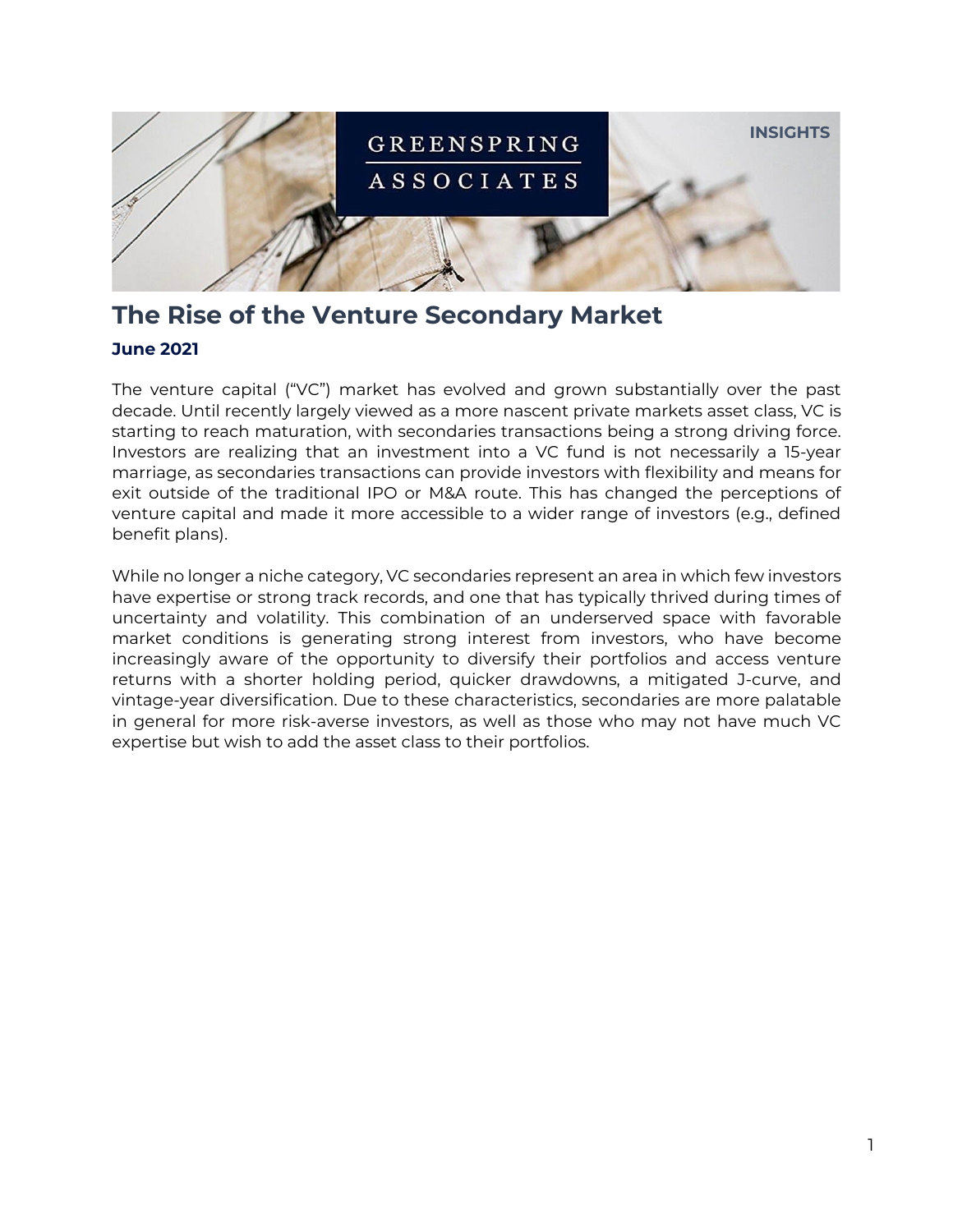

# **The Rise of the Venture Secondary Market**

### **June 2021**

The venture capital ("VC") market has evolved and grown substantially over the past decade. Until recently largely viewed as a more nascent private markets asset class, VC is starting to reach maturation, with secondaries transactions being a strong driving force. Investors are realizing that an investment into a VC fund is not necessarily a 15-year marriage, as secondaries transactions can provide investors with flexibility and means for exit outside of the traditional IPO or M&A route. This has changed the perceptions of venture capital and made it more accessible to a wider range of investors (e.g., defined benefit plans).

While no longer a niche category, VC secondaries represent an area in which few investors have expertise or strong track records, and one that has typically thrived during times of uncertainty and volatility. This combination of an underserved space with favorable market conditions is generating strong interest from investors, who have become increasingly aware of the opportunity to diversify their portfolios and access venture returns with a shorter holding period, quicker drawdowns, a mitigated J-curve, and vintage-year diversification. Due to these characteristics, secondaries are more palatable in general for more risk-averse investors, as well as those who may not have much VC expertise but wish to add the asset class to their portfolios.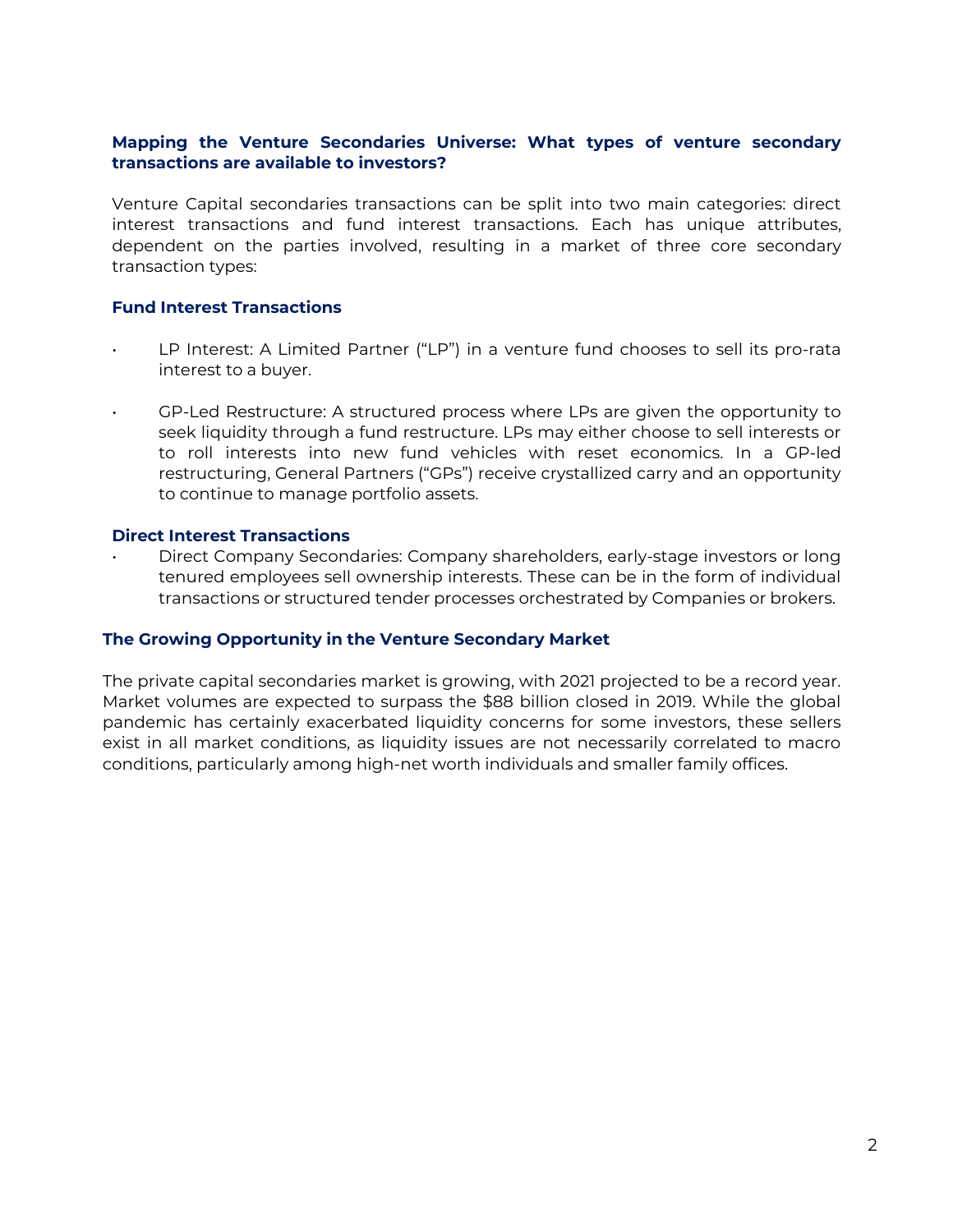#### **Mapping the Venture Secondaries Universe: What types of venture secondary transactions are available to investors?**

Venture Capital secondaries transactions can be split into two main categories: direct interest transactions and fund interest transactions. Each has unique attributes, dependent on the parties involved, resulting in a market of three core secondary transaction types:

#### **Fund Interest Transactions**

- LP Interest: A Limited Partner ("LP") in a venture fund chooses to sell its pro-rata interest to a buyer.
	- GP-Led Restructure: A structured process where LPs are given the opportunity to seek liquidity through a fund restructure. LPs may either choose to sell interests or to roll interests into new fund vehicles with reset economics. In a GP-led restructuring, General Partners ("GPs") receive crystallized carry and an opportunity to continue to manage portfolio assets.

#### **Direct Interest Transactions**

• Direct Company Secondaries: Company shareholders, early-stage investors or long tenured employees sell ownership interests. These can be in the form of individual transactions or structured tender processes orchestrated by Companies or brokers.

#### **The Growing Opportunity in the Venture Secondary Market**

The private capital secondaries market is growing, with 2021 projected to be a record year. Market volumes are expected to surpass the \$88 billion closed in 2019. While the global pandemic has certainly exacerbated liquidity concerns for some investors, these sellers exist in all market conditions, as liquidity issues are not necessarily correlated to macro conditions, particularly among high-net worth individuals and smaller family offices.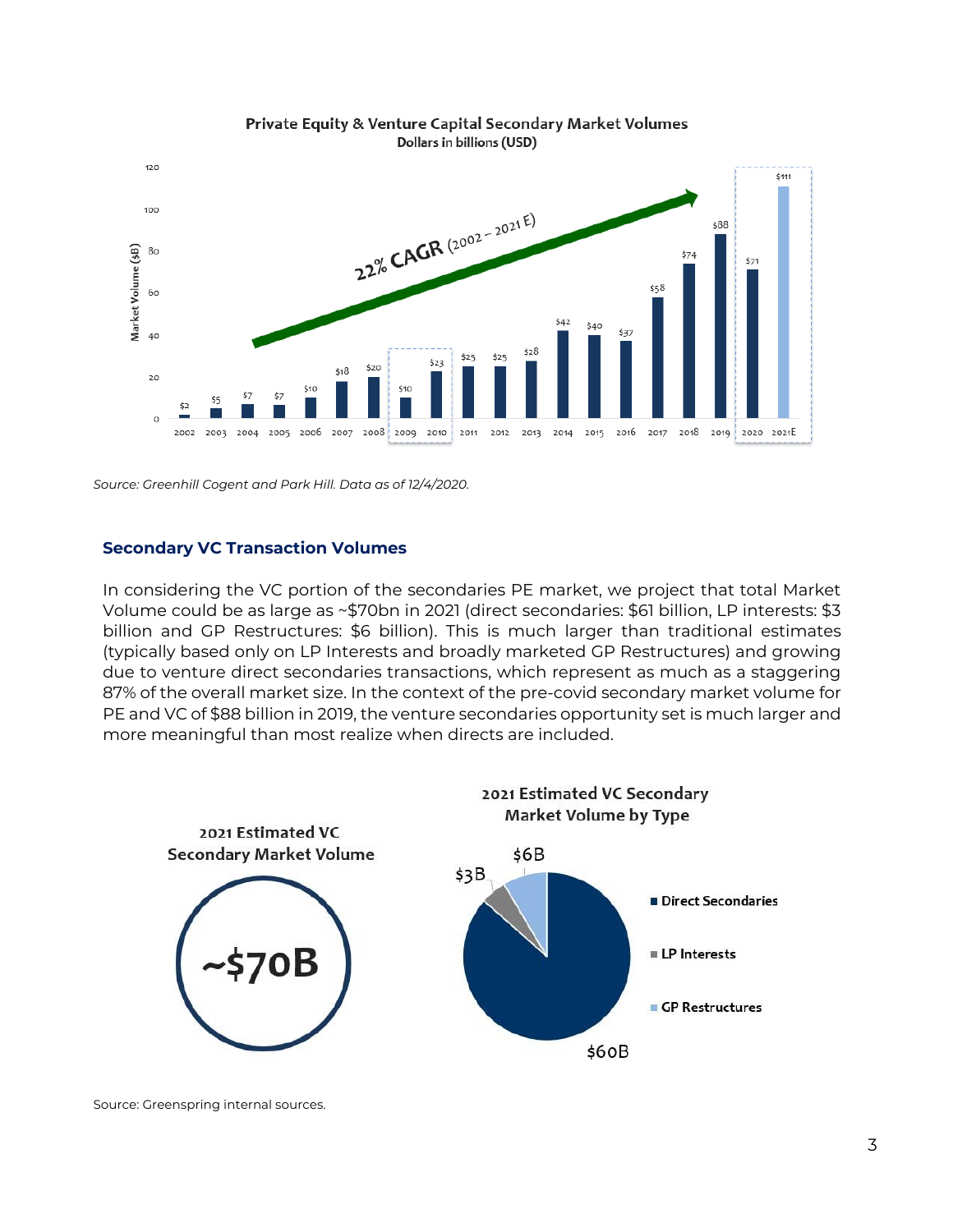



*Source: Greenhill Cogent and Park Hill. Data as of 12/4/2020.*

#### **Secondary VC Transaction Volumes**

In considering the VC portion of the secondaries PE market, we project that total Market Volume could be as large as ~\$70bn in 2021 (direct secondaries: \$61 billion, LP interests: \$3 billion and GP Restructures: \$6 billion). This is much larger than traditional estimates (typically based only on LP Interests and broadly marketed GP Restructures) and growing due to venture direct secondaries transactions, which represent as much as a staggering 87% of the overall market size. In the context of the pre-covid secondary market volume for PE and VC of \$88 billion in 2019, the venture secondaries opportunity set is much larger and more meaningful than most realize when directs are included.



Source: Greenspring internal sources.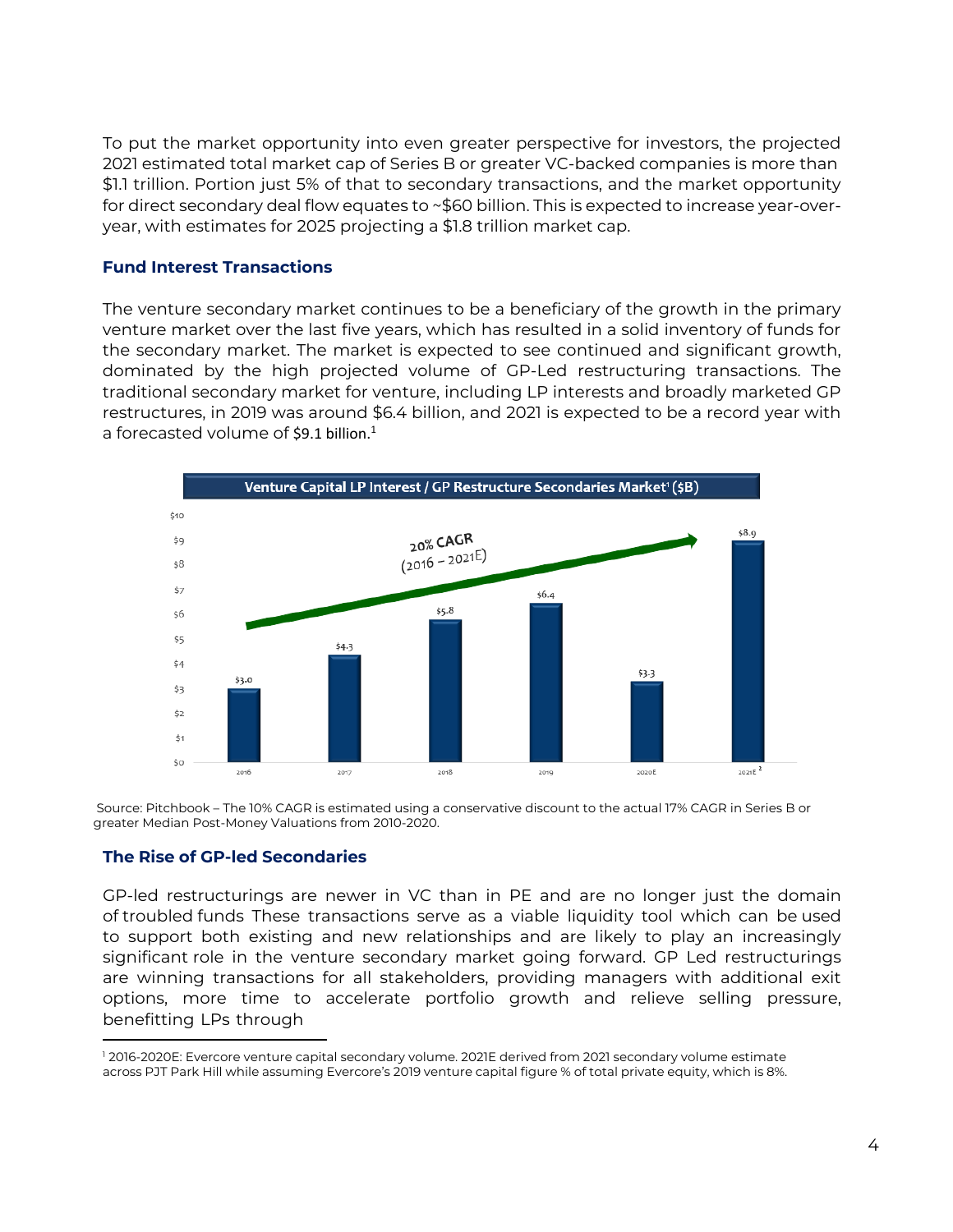To put the market opportunity into even greater perspective for investors, the projected 2021 estimated total market cap of Series B or greater VC-backed companies is more than \$1.1 trillion. Portion just 5% of that to secondary transactions, and the market opportunity for direct secondary deal flow equates to ~\$60 billion. This is expected to increase year-overyear, with estimates for 2025 projecting a \$1.8 trillion market cap.

#### **Fund Interest Transactions**

The venture secondary market continues to be a beneficiary of the growth in the primary venture market over the last five years, which has resulted in a solid inventory of funds for the secondary market. The market is expected to see continued and significant growth, dominated by the high projected volume of GP-Led restructuring transactions. The traditional secondary market for venture, including LP interests and broadly marketed GP restructures, in 2019 was around \$6.4 billion, and 2021 is expected to be a record year with a forecasted volume of \$9.[1](#page-3-0) billion.<sup>1</sup>



Source: Pitchbook – The 10% CAGR is estimated using a conservative discount to the actual 17% CAGR in Series B or greater Median Post-Money Valuations from 2010-2020.

#### **The Rise of GP-led Secondaries**

GP-led restructurings are newer in VC than in PE and are no longer just the domain of troubled funds These transactions serve as a viable liquidity tool which can be used to support both existing and new relationships and are likely to play an increasingly significant role in the venture secondary market going forward. GP Led restructurings are winning transactions for all stakeholders, providing managers with additional exit options, more time to accelerate portfolio growth and relieve selling pressure, benefitting LPs through

<span id="page-3-0"></span><sup>1</sup> 2016-2020E: Evercore venture capital secondary volume. 2021E derived from 2021 secondary volume estimate across PJT Park Hill while assuming Evercore's 2019 venture capital figure % of total private equity, which is 8%.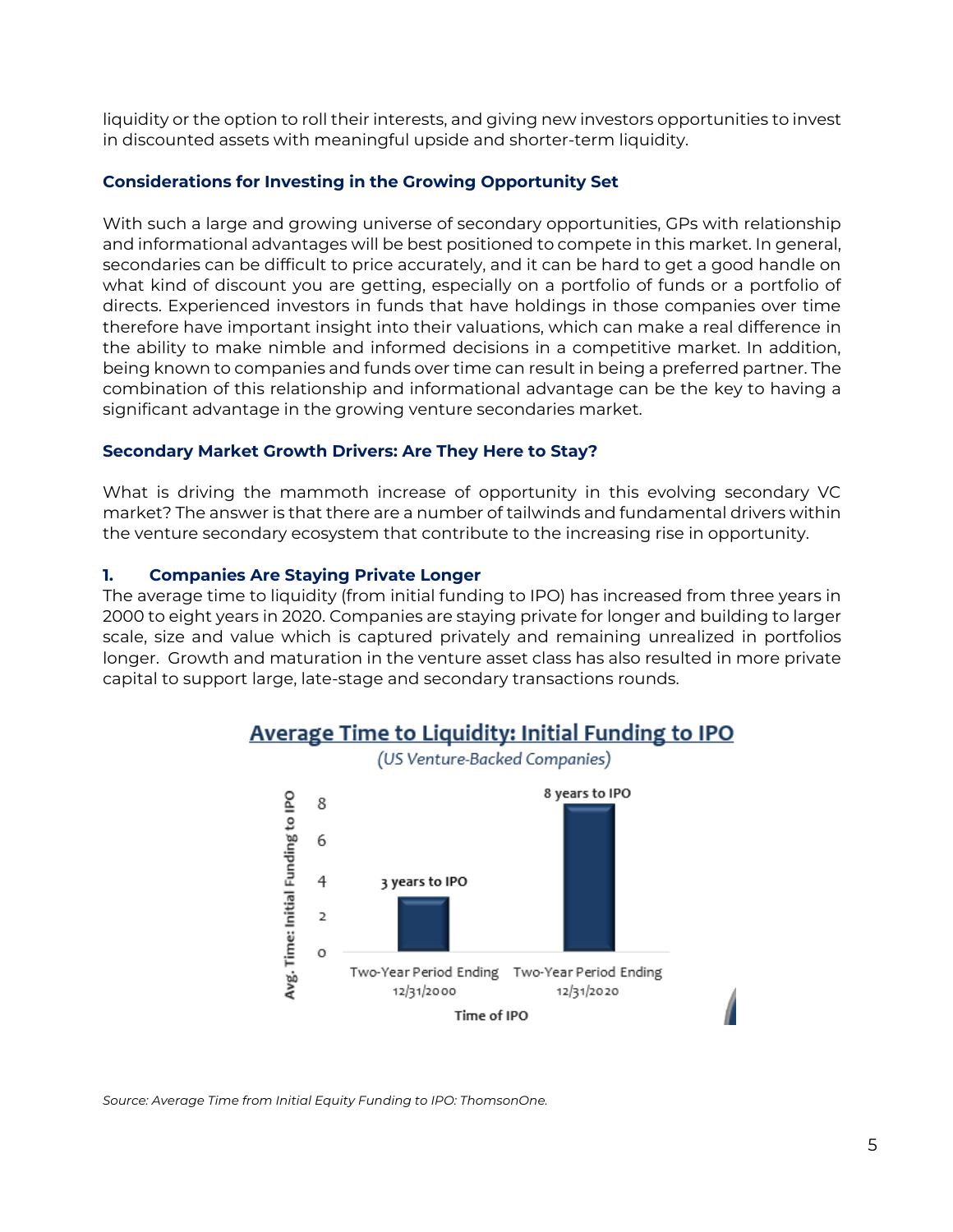liquidity or the option to roll their interests, and giving new investors opportunities to invest in discounted assets with meaningful upside and shorter-term liquidity.

### **Considerations for Investing in the Growing Opportunity Set**

With such a large and growing universe of secondary opportunities, GPs with relationship and informational advantages will be best positioned to compete in this market. In general, secondaries can be difficult to price accurately, and it can be hard to get a good handle on what kind of discount you are getting, especially on a portfolio of funds or a portfolio of directs. Experienced investors in funds that have holdings in those companies over time therefore have important insight into their valuations, which can make a real difference in the ability to make nimble and informed decisions in a competitive market. In addition, being known to companies and funds over time can result in being a preferred partner. The combination of this relationship and informational advantage can be the key to having a significant advantage in the growing venture secondaries market.

### **Secondary Market Growth Drivers: Are They Here to Stay?**

What is driving the mammoth increase of opportunity in this evolving secondary VC market? The answer is that there are a number of tailwinds and fundamental drivers within the venture secondary ecosystem that contribute to the increasing rise in opportunity.

### **1. Companies Are Staying Private Longer**

The average time to liquidity (from initial funding to IPO) has increased from three years in 2000 to eight years in 2020. Companies are staying private for longer and building to larger scale, size and value which is captured privately and remaining unrealized in portfolios longer. Growth and maturation in the venture asset class has also resulted in more private capital to support large, late-stage and secondary transactions rounds.



**Average Time to Liquidity: Initial Funding to IPO** (US Venture-Backed Companies)

*Source: Average Time from Initial Equity Funding to IPO: ThomsonOne.*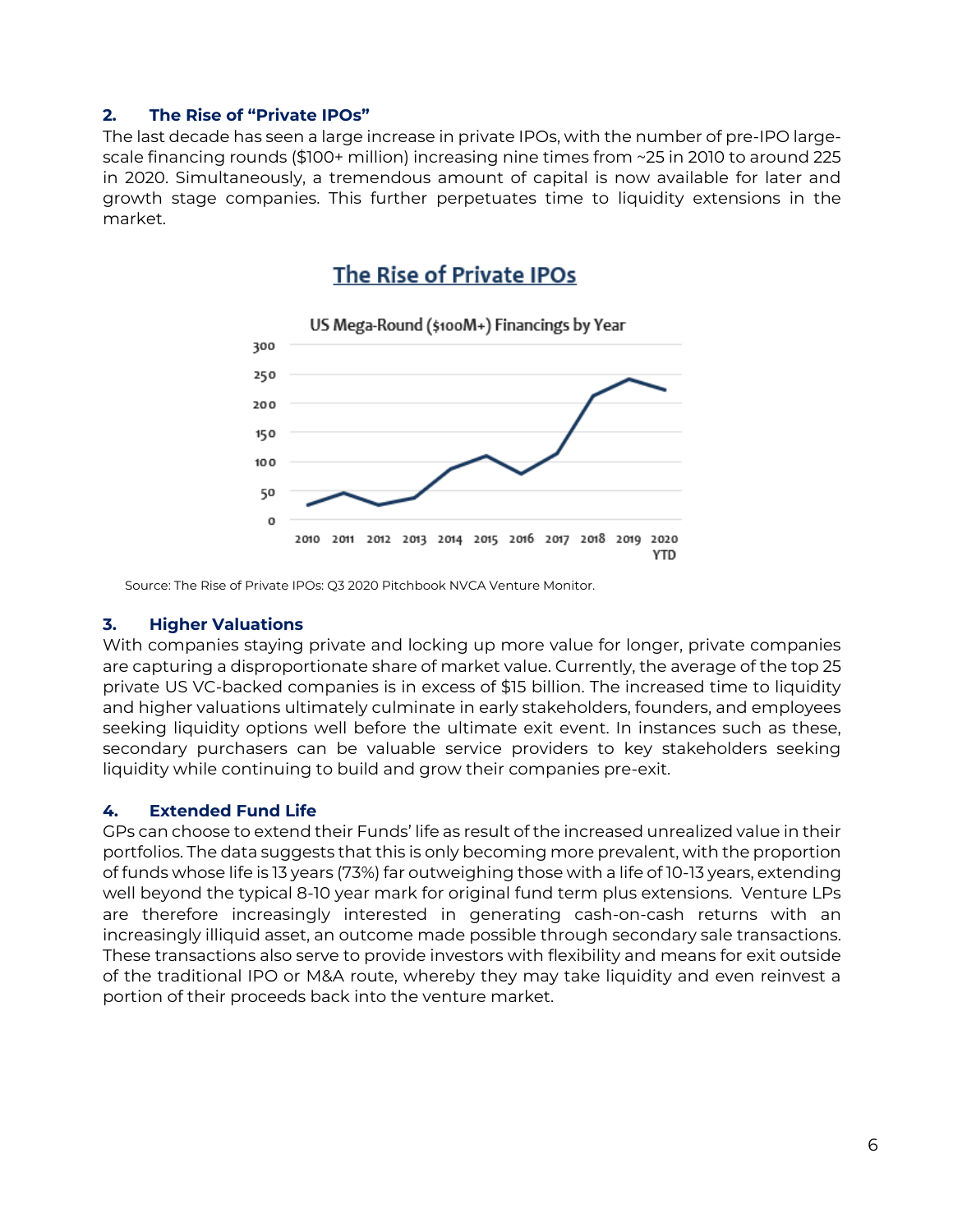### **2. The Rise of "Private IPOs"**

The last decade has seen a large increase in private IPOs, with the number of pre-IPO largescale financing rounds (\$100+ million) increasing nine times from ~25 in 2010 to around 225 in 2020. Simultaneously, a tremendous amount of capital is now available for later and growth stage companies. This further perpetuates time to liquidity extensions in the market.

## The Rise of Private IPOs



Source: The Rise of Private IPOs: Q3 2020 Pitchbook NVCA Venture Monitor.

### **3. Higher Valuations**

With companies staying private and locking up more value for longer, private companies are capturing a disproportionate share of market value. Currently, the average of the top 25 private US VC-backed companies is in excess of \$15 billion. The increased time to liquidity and higher valuations ultimately culminate in early stakeholders, founders, and employees seeking liquidity options well before the ultimate exit event. In instances such as these, secondary purchasers can be valuable service providers to key stakeholders seeking liquidity while continuing to build and grow their companies pre-exit.

### **4. Extended Fund Life**

GPs can choose to extend their Funds' life as result of the increased unrealized value in their portfolios. The data suggests that this is only becoming more prevalent, with the proportion of funds whose life is 13 years (73%) far outweighing those with a life of 10-13 years, extending well beyond the typical 8-10 year mark for original fund term plus extensions. Venture LPs are therefore increasingly interested in generating cash-on-cash returns with an increasingly illiquid asset, an outcome made possible through secondary sale transactions. These transactions also serve to provide investors with flexibility and means for exit outside of the traditional IPO or M&A route, whereby they may take liquidity and even reinvest a portion of their proceeds back into the venture market.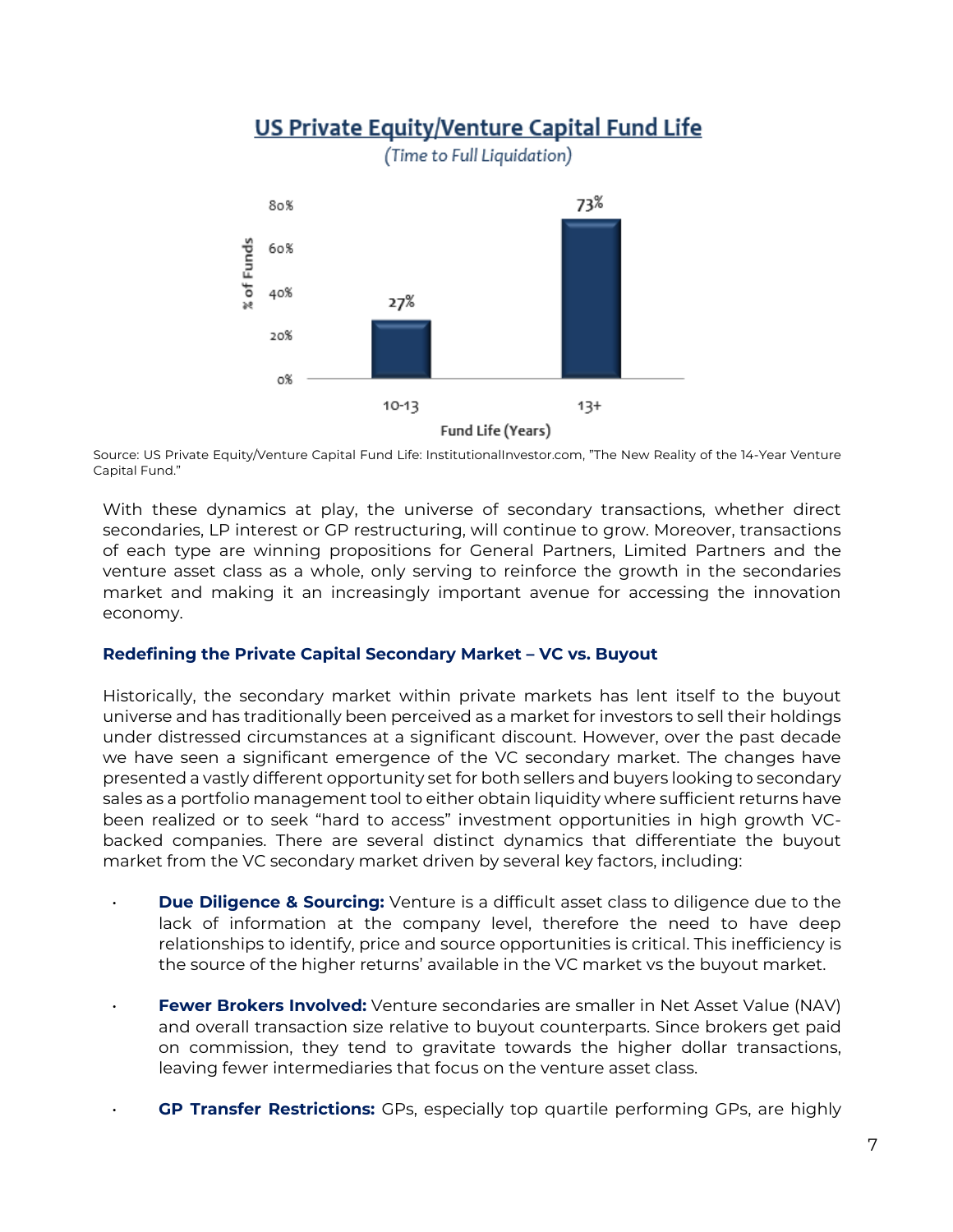

Source: US Private Equity/Venture Capital Fund Life: InstitutionalInvestor.com, "The New Reality of the 14-Year Venture Capital Fund."

With these dynamics at play, the universe of secondary transactions, whether direct secondaries, LP interest or GP restructuring, will continue to grow. Moreover, transactions of each type are winning propositions for General Partners, Limited Partners and the venture asset class as a whole, only serving to reinforce the growth in the secondaries market and making it an increasingly important avenue for accessing the innovation economy.

### **Redefining the Private Capital Secondary Market – VC vs. Buyout**

Historically, the secondary market within private markets has lent itself to the buyout universe and has traditionally been perceived as a market for investors to sell their holdings under distressed circumstances at a significant discount. However, over the past decade we have seen a significant emergence of the VC secondary market. The changes have presented a vastly different opportunity set for both sellers and buyers looking to secondary sales as a portfolio management tool to either obtain liquidity where sufficient returns have been realized or to seek "hard to access" investment opportunities in high growth VCbacked companies. There are several distinct dynamics that differentiate the buyout market from the VC secondary market driven by several key factors, including:

- **Due Diligence & Sourcing:** Venture is a difficult asset class to diligence due to the lack of information at the company level, therefore the need to have deep relationships to identify, price and source opportunities is critical. This inefficiency is the source of the higher returns' available in the VC market vs the buyout market.
- **Fewer Brokers Involved:** Venture secondaries are smaller in Net Asset Value (NAV) and overall transaction size relative to buyout counterparts. Since brokers get paid on commission, they tend to gravitate towards the higher dollar transactions, leaving fewer intermediaries that focus on the venture asset class.
- **GP Transfer Restrictions:** GPs, especially top quartile performing GPs, are highly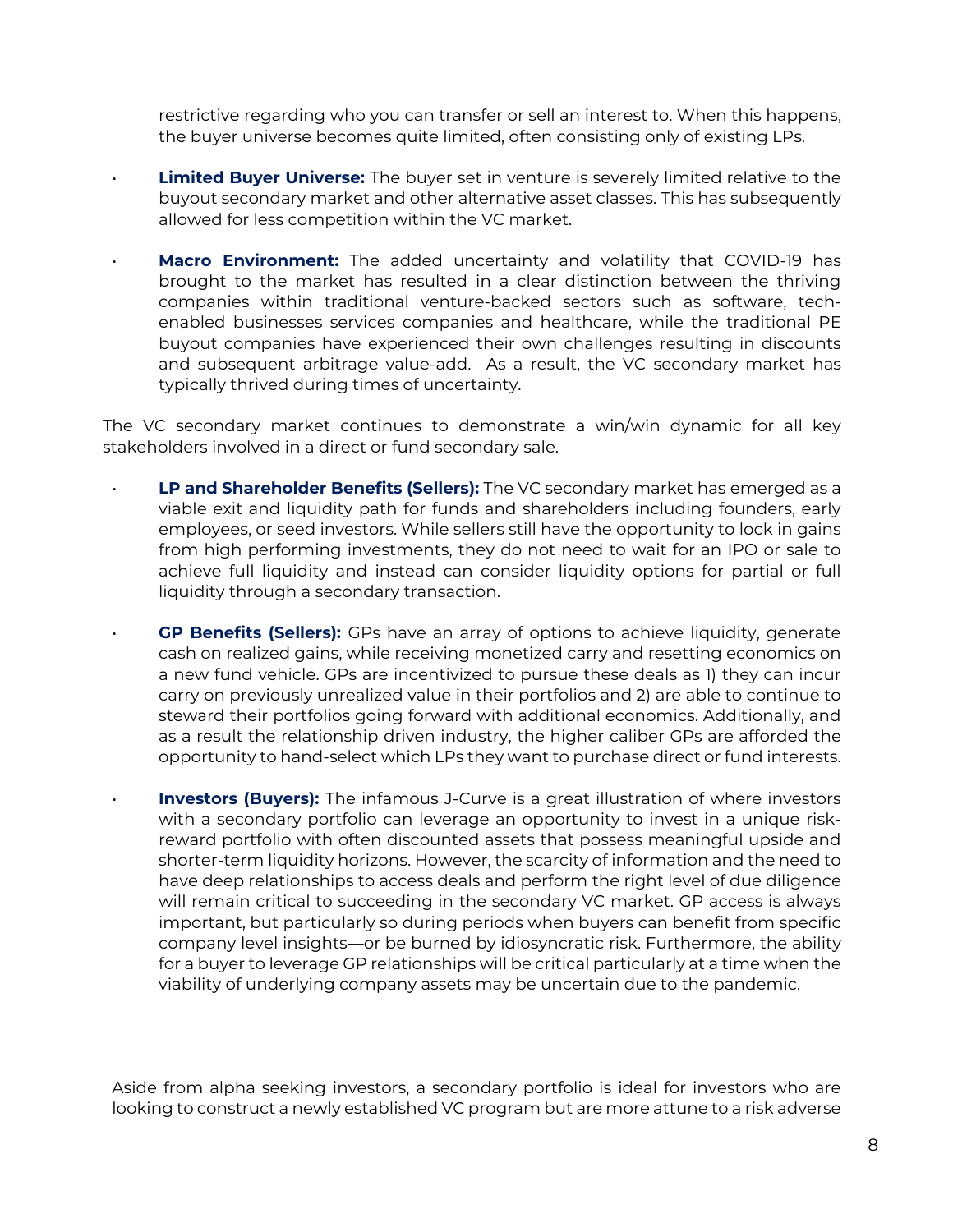restrictive regarding who you can transfer or sell an interest to. When this happens, the buyer universe becomes quite limited, often consisting only of existing LPs.

- **Limited Buyer Universe:** The buyer set in venture is severely limited relative to the buyout secondary market and other alternative asset classes. This has subsequently allowed for less competition within the VC market.
- **Macro Environment:** The added uncertainty and volatility that COVID-19 has brought to the market has resulted in a clear distinction between the thriving companies within traditional venture-backed sectors such as software, techenabled businesses services companies and healthcare, while the traditional PE buyout companies have experienced their own challenges resulting in discounts and subsequent arbitrage value-add. As a result, the VC secondary market has typically thrived during times of uncertainty.

The VC secondary market continues to demonstrate a win/win dynamic for all key stakeholders involved in a direct or fund secondary sale.

- **LP and Shareholder Benefits (Sellers):** The VC secondary market has emerged as a viable exit and liquidity path for funds and shareholders including founders, early employees, or seed investors. While sellers still have the opportunity to lock in gains from high performing investments, they do not need to wait for an IPO or sale to achieve full liquidity and instead can consider liquidity options for partial or full liquidity through a secondary transaction.
- **GP Benefits (Sellers):** GPs have an array of options to achieve liquidity, generate cash on realized gains, while receiving monetized carry and resetting economics on a new fund vehicle. GPs are incentivized to pursue these deals as 1) they can incur carry on previously unrealized value in their portfolios and 2) are able to continue to steward their portfolios going forward with additional economics. Additionally, and as a result the relationship driven industry, the higher caliber GPs are afforded the opportunity to hand-select which LPs they want to purchase direct or fund interests.
- **Investors (Buyers):** The infamous J-Curve is a great illustration of where investors with a secondary portfolio can leverage an opportunity to invest in a unique riskreward portfolio with often discounted assets that possess meaningful upside and shorter-term liquidity horizons. However, the scarcity of information and the need to have deep relationships to access deals and perform the right level of due diligence will remain critical to succeeding in the secondary VC market. GP access is always important, but particularly so during periods when buyers can benefit from specific company level insights—or be burned by idiosyncratic risk. Furthermore, the ability for a buyer to leverage GP relationships will be critical particularly at a time when the viability of underlying company assets may be uncertain due to the pandemic.

Aside from alpha seeking investors, a secondary portfolio is ideal for investors who are looking to construct a newly established VC program but are more attune to a risk adverse